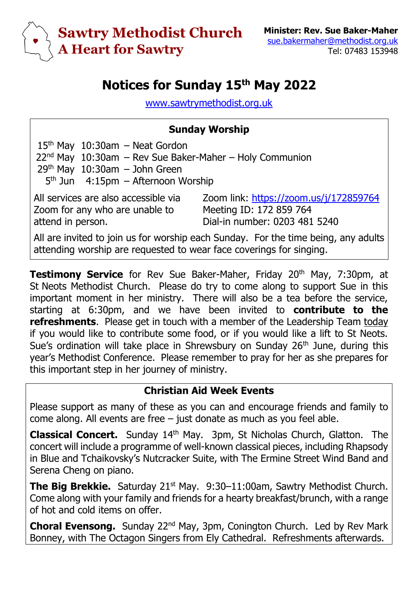

# **Notices for Sunday 15th May 2022**

[www.sawtrymethodist.org.uk](http://www.sawtrymethodist.org.uk/)

#### **Sunday Worship**

15th May 10:30am – Neat Gordon  $22<sup>nd</sup>$  May  $10:30$ am – Rev Sue Baker-Maher – Holy Communion  $29<sup>th</sup>$  May  $10:30$ am – John Green 5<sup>th</sup> Jun 4:15pm - Afternoon Worship

All services are also accessible via Zoom for any who are unable to attend in person.

Zoom link:<https://zoom.us/j/172859764> Meeting ID: 172 859 764 Dial-in number: 0203 481 5240

All are invited to join us for worship each Sunday. For the time being, any adults attending worship are requested to wear face coverings for singing.

**Testimony Service** for Rev Sue Baker-Maher, Friday 20<sup>th</sup> May, 7:30pm, at St Neots Methodist Church. Please do try to come along to support Sue in this important moment in her ministry. There will also be a tea before the service, starting at 6:30pm, and we have been invited to **contribute to the refreshments**. Please get in touch with a member of the Leadership Team today if you would like to contribute some food, or if you would like a lift to St Neots. Sue's ordination will take place in Shrewsbury on Sunday  $26<sup>th</sup>$  June, during this year's Methodist Conference. Please remember to pray for her as she prepares for this important step in her journey of ministry.

#### **Christian Aid Week Events**

Please support as many of these as you can and encourage friends and family to come along. All events are free – just donate as much as you feel able.

**Classical Concert.** Sunday 14th May. 3pm, St Nicholas Church, Glatton. The concert will include a programme of well-known classical pieces, including Rhapsody in Blue and Tchaikovsky's Nutcracker Suite, with The Ermine Street Wind Band and Serena Cheng on piano.

**The Big Brekkie.** Saturday 21<sup>st</sup> May. 9:30-11:00am, Sawtry Methodist Church. Come along with your family and friends for a hearty breakfast/brunch, with a range of hot and cold items on offer.

**Choral Evensong.** Sunday 22<sup>nd</sup> May, 3pm, Conington Church. Led by Rev Mark Bonney, with The Octagon Singers from Ely Cathedral. Refreshments afterwards.